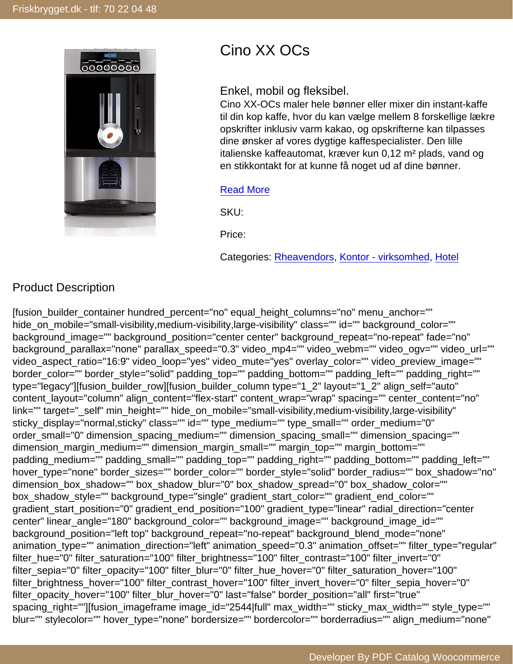# Cino XX OCs

### Enkel, mobil og fleksibel.

Cino XX-OCs maler hele bønner eller mixer din instant-kaffe til din kop kaffe, hvor du kan vælge mellem 8 forskellige lækre opskrifter inklusiv varm kakao, og opskrifterne kan tilpasses dine ønsker af vores dygtige kaffespecialister. Den lille italienske kaffeautomat, kræver kun 0,12 m² plads, vand og en stikkontakt for at kunne få noget ud af dine bønner.

#### [Read More](https://friskbrygget.dk/vare/cino-xx-ocs/)

SKU:

Price:

Categories: [Rheavendors,](https://friskbrygget.dk/vare-kategori/brands/rheavendors/) [Kontor - virksomhed,](https://friskbrygget.dk/vare-kategori/kaffemaskiner/kontor/) [Hotel](https://friskbrygget.dk/vare-kategori/kaffemaskiner/hotel/)

## Product Description

[fusion\_builder\_container hundred\_percent="no" equal\_height\_columns="no" menu\_anchor="" hide\_on\_mobile="small-visibility,medium-visibility,large-visibility" class="" id="" background\_color="" background\_image="" background\_position="center center" background\_repeat="no-repeat" fade="no" background\_parallax="none" parallax\_speed="0.3" video\_mp4="" video\_webm="" video\_ogv="" video\_url="" video\_aspect\_ratio="16:9" video\_loop="yes" video\_mute="yes" overlay\_color="" video\_preview\_image="" border\_color="" border\_style="solid" padding\_top="" padding\_bottom="" padding\_left="" padding\_right="" type="legacy"][fusion\_builder\_row][fusion\_builder\_column type="1\_2" layout="1\_2" align\_self="auto" content\_layout="column" align\_content="flex-start" content\_wrap="wrap" spacing="" center\_content="no" link="" target="\_self" min\_height="" hide\_on\_mobile="small-visibility,medium-visibility,large-visibility" sticky\_display="normal,sticky" class="" id="" type\_medium="" type\_small="" order\_medium="0" order\_small="0" dimension\_spacing\_medium="" dimension\_spacing\_small="" dimension\_spacing="" dimension\_margin\_medium="" dimension\_margin\_small="" margin\_top="" margin\_bottom="" padding\_medium="" padding\_small="" padding\_top="" padding\_right="" padding\_bottom="" padding\_left="" hover\_type="none" border\_sizes="" border\_color="" border\_style="solid" border\_radius="" box\_shadow="no" dimension box shadow="" box shadow blur="0" box shadow spread="0" box shadow color="" box\_shadow\_style="" background\_type="single" gradient\_start\_color="" gradient\_end\_color="" gradient\_start\_position="0" gradient\_end\_position="100" gradient\_type="linear" radial\_direction="center center" linear\_angle="180" background\_color="" background\_image="" background\_image\_id="" background\_position="left top" background\_repeat="no-repeat" background\_blend\_mode="none" animation\_type="" animation\_direction="left" animation\_speed="0.3" animation\_offset="" filter\_type="regular" filter\_hue="0" filter\_saturation="100" filter\_brightness="100" filter\_contrast="100" filter\_invert="0" filter\_sepia="0" filter\_opacity="100" filter\_blur="0" filter\_hue\_hover="0" filter\_saturation\_hover="100" filter\_brightness\_hover="100" filter\_contrast\_hover="100" filter\_invert\_hover="0" filter\_sepia\_hover="0" filter\_opacity\_hover="100" filter\_blur\_hover="0" last="false" border\_position="all" first="true" spacing\_right=""][fusion\_imageframe image\_id="2544|full" max\_width="" sticky\_max\_width="" style\_type="" blur="" stylecolor="" hover\_type="none" bordersize="" bordercolor="" borderradius="" align\_medium="none"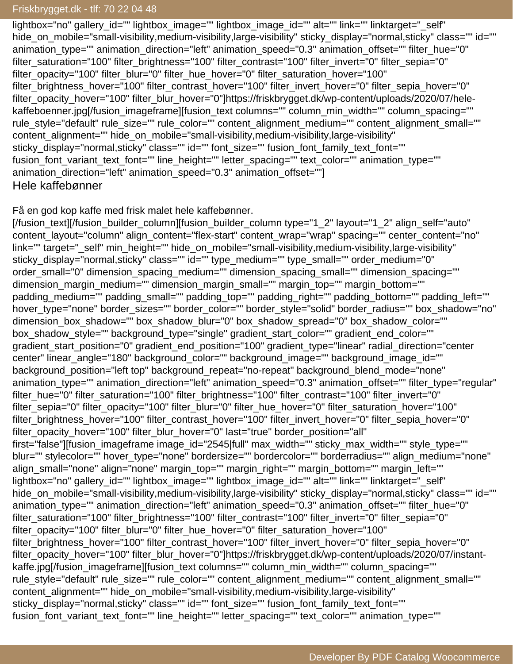## $\blacksquare$ Friskbrygget.dk - tlf: 70 22 04 48  $\blacksquare$

lightbox="no" gallery\_id="" lightbox\_image="" lightbox\_image\_id="" alt="" link="" linktarget="\_self" hide\_on\_mobile="small-visibility,medium-visibility,large-visibility" sticky\_display="normal,sticky" class="" id="" animation\_type="" animation\_direction="left" animation\_speed="0.3" animation\_offset="" filter\_hue="0" filter\_saturation="100" filter\_brightness="100" filter\_contrast="100" filter\_invert="0" filter\_sepia="0" filter\_opacity="100" filter\_blur="0" filter\_hue\_hover="0" filter\_saturation\_hover="100" filter\_brightness\_hover="100" filter\_contrast\_hover="100" filter\_invert\_hover="0" filter\_sepia\_hover="0" filter\_opacity\_hover="100" filter\_blur\_hover="0"]https://friskbrygget.dk/wp-content/uploads/2020/07/helekaffeboenner.jpg[/fusion\_imageframe][fusion\_text columns="" column\_min\_width="" column\_spacing="" rule\_style="default" rule\_size="" rule\_color="" content\_alignment\_medium="" content\_alignment\_small="" content\_alignment="" hide\_on\_mobile="small-visibility,medium-visibility,large-visibility" sticky display="normal,sticky" class="" id="" font size="" fusion font family text font="" fusion\_font\_variant\_text\_font="" line\_height="" letter\_spacing="" text\_color="" animation\_type="" animation\_direction="left" animation\_speed="0.3" animation\_offset=""] Hele kaffebønner

Få en god kop kaffe med frisk malet hele kaffebønner.

[/fusion\_text][/fusion\_builder\_column][fusion\_builder\_column type="1\_2" layout="1\_2" align\_self="auto" content\_layout="column" align\_content="flex-start" content\_wrap="wrap" spacing="" center\_content="no" link="" target="\_self" min\_height="" hide\_on\_mobile="small-visibility,medium-visibility,large-visibility" sticky display="normal,sticky" class="" id="" type\_medium="" type\_small="" order\_medium="0" order\_small="0" dimension\_spacing\_medium="" dimension\_spacing\_small="" dimension\_spacing="" dimension margin medium="" dimension margin small="" margin top="" margin bottom="" padding\_medium="" padding\_small="" padding\_top="" padding\_right="" padding\_bottom="" padding\_left="" hover\_type="none" border\_sizes="" border\_color="" border\_style="solid" border\_radius="" box\_shadow="no" dimension\_box\_shadow="" box\_shadow\_blur="0" box\_shadow\_spread="0" box\_shadow\_color="" box shadow style="" background type="single" gradient start color="" gradient end color="" gradient\_start\_position="0" gradient\_end\_position="100" gradient\_type="linear" radial\_direction="center center" linear\_angle="180" background\_color="" background\_image="" background\_image\_id="" background\_position="left top" background\_repeat="no-repeat" background\_blend\_mode="none" animation\_type="" animation\_direction="left" animation\_speed="0.3" animation\_offset="" filter\_type="regular" filter\_hue="0" filter\_saturation="100" filter\_brightness="100" filter\_contrast="100" filter\_invert="0" filter\_sepia="0" filter\_opacity="100" filter\_blur="0" filter\_hue\_hover="0" filter\_saturation\_hover="100" filter\_brightness\_hover="100" filter\_contrast\_hover="100" filter\_invert\_hover="0" filter\_sepia\_hover="0" filter\_opacity\_hover="100" filter\_blur\_hover="0" last="true" border\_position="all" first="false"][fusion\_imageframe image\_id="2545|full" max\_width="" sticky\_max\_width="" style\_type="" blur="" stylecolor="" hover\_type="none" bordersize="" bordercolor="" borderradius="" align\_medium="none" align\_small="none" align="none" margin\_top="" margin\_right="" margin\_bottom="" margin\_left="" lightbox="no" gallery\_id="" lightbox\_image="" lightbox\_image\_id="" alt="" link="" linktarget="\_self" hide\_on\_mobile="small-visibility,medium-visibility,large-visibility" sticky\_display="normal,sticky" class="" id="" animation\_type="" animation\_direction="left" animation\_speed="0.3" animation\_offset="" filter\_hue="0" filter\_saturation="100" filter\_brightness="100" filter\_contrast="100" filter\_invert="0" filter\_sepia="0" filter\_opacity="100" filter\_blur="0" filter\_hue\_hover="0" filter\_saturation\_hover="100" filter\_brightness\_hover="100" filter\_contrast\_hover="100" filter\_invert\_hover="0" filter\_sepia\_hover="0" filter\_opacity\_hover="100" filter\_blur\_hover="0"]https://friskbrygget.dk/wp-content/uploads/2020/07/instantkaffe.jpg[/fusion\_imageframe][fusion\_text columns="" column\_min\_width="" column\_spacing="" rule\_style="default" rule\_size="" rule\_color="" content\_alignment\_medium="" content\_alignment\_small="" content\_alignment="" hide\_on\_mobile="small-visibility,medium-visibility,large-visibility" sticky\_display="normal,sticky" class="" id="" font\_size="" fusion\_font\_family\_text\_font="" fusion\_font\_variant\_text\_font="" line\_height="" letter\_spacing="" text\_color="" animation\_type=""